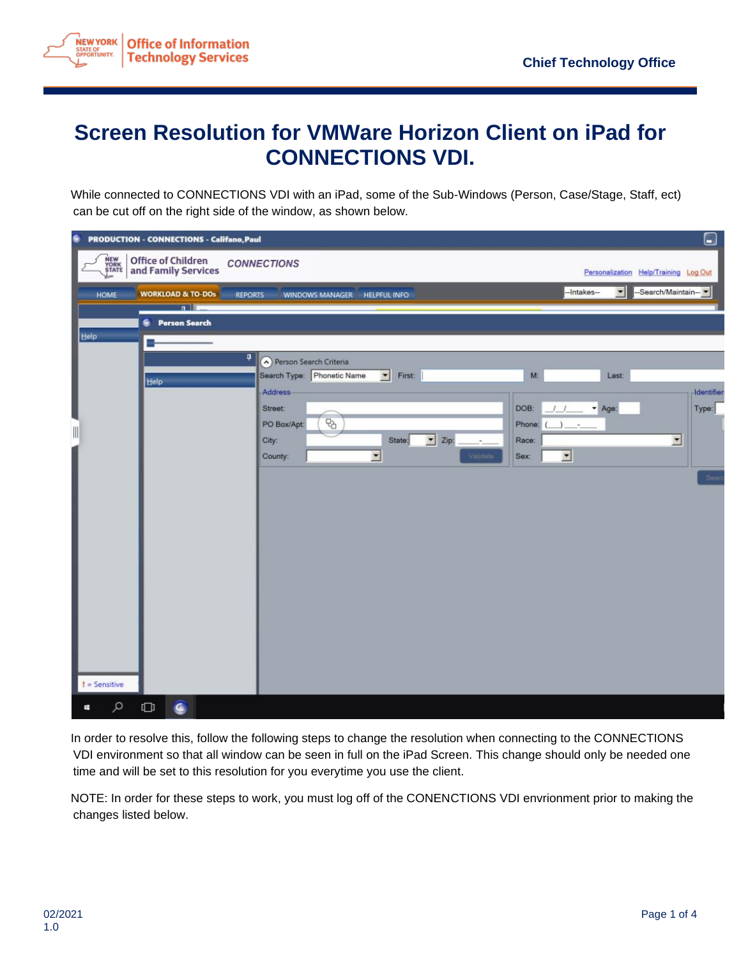

## **Screen Resolution for VMWare Horizon Client on iPad for CONNECTIONS VDI.**

While connected to CONNECTIONS VDI with an iPad, some of the Sub-Windows (Person, Case/Stage, Staff, ect) can be cut off on the right side of the window, as shown below.

| G                             | <b>PRODUCTION - CONNECTIONS - Califano, Paul</b>  |                                                      |                             |                        |                               |                     | $\Box$                                |  |
|-------------------------------|---------------------------------------------------|------------------------------------------------------|-----------------------------|------------------------|-------------------------------|---------------------|---------------------------------------|--|
| NEW<br>YORK<br>STATE<br>حسابا | <b>Office of Children<br/>and Family Services</b> | <b>CONNECTIONS</b>                                   |                             |                        |                               |                     | Personalization Help/Training Log Out |  |
| <b>HOME</b>                   | <b>WORKLOAD &amp; TO-DOs</b><br><b>REPORTS</b>    | <b>WINDOWS MANAGER</b>                               | <b>HELPFUL INFO</b>         |                        |                               | 회<br>-Intakes--     | -Search/Maintain-                     |  |
|                               | n                                                 |                                                      |                             |                        |                               |                     |                                       |  |
| Help                          | <b>Person Search</b><br>G.                        |                                                      |                             |                        |                               |                     |                                       |  |
|                               |                                                   |                                                      |                             |                        |                               |                     |                                       |  |
|                               | 4                                                 | Person Search Criteria<br>Search Type: Phonetic Name |                             |                        | M:                            | Last                |                                       |  |
|                               | Help                                              | Address                                              | $\blacktriangleright$ First |                        |                               |                     | Identifie                             |  |
|                               |                                                   | Street:                                              |                             |                        | DOB:<br>$\cdot$               | $-$ Age:            | Type:                                 |  |
|                               |                                                   | 먼<br>PO Box/Apt:                                     |                             |                        | Phone:                        | $\scriptstyle\rm m$ |                                       |  |
| $\parallel$                   |                                                   | City:                                                | State:                      | $\blacksquare$<br>Zip: | Race:                         |                     | $\overline{\phantom{0}}$              |  |
|                               |                                                   | County:                                              | $\overline{ }$              | Validate               | $\overline{z}$<br><b>Sex:</b> |                     |                                       |  |
|                               |                                                   |                                                      |                             |                        |                               |                     | Sean                                  |  |
|                               |                                                   |                                                      |                             |                        |                               |                     |                                       |  |
|                               |                                                   |                                                      |                             |                        |                               |                     |                                       |  |
|                               |                                                   |                                                      |                             |                        |                               |                     |                                       |  |
|                               |                                                   |                                                      |                             |                        |                               |                     |                                       |  |
|                               |                                                   |                                                      |                             |                        |                               |                     |                                       |  |
|                               |                                                   |                                                      |                             |                        |                               |                     |                                       |  |
|                               |                                                   |                                                      |                             |                        |                               |                     |                                       |  |
|                               |                                                   |                                                      |                             |                        |                               |                     |                                       |  |
|                               |                                                   |                                                      |                             |                        |                               |                     |                                       |  |
|                               |                                                   |                                                      |                             |                        |                               |                     |                                       |  |
|                               |                                                   |                                                      |                             |                        |                               |                     |                                       |  |
| $l =$ Sensitive               |                                                   |                                                      |                             |                        |                               |                     |                                       |  |
| Q<br>Ŧ                        | $\Box$<br>€                                       |                                                      |                             |                        |                               |                     |                                       |  |

In order to resolve this, follow the following steps to change the resolution when connecting to the CONNECTIONS VDI environment so that all window can be seen in full on the iPad Screen. This change should only be needed one time and will be set to this resolution for you everytime you use the client.

NOTE: In order for these steps to work, you must log off of the CONENCTIONS VDI envrionment prior to making the changes listed below.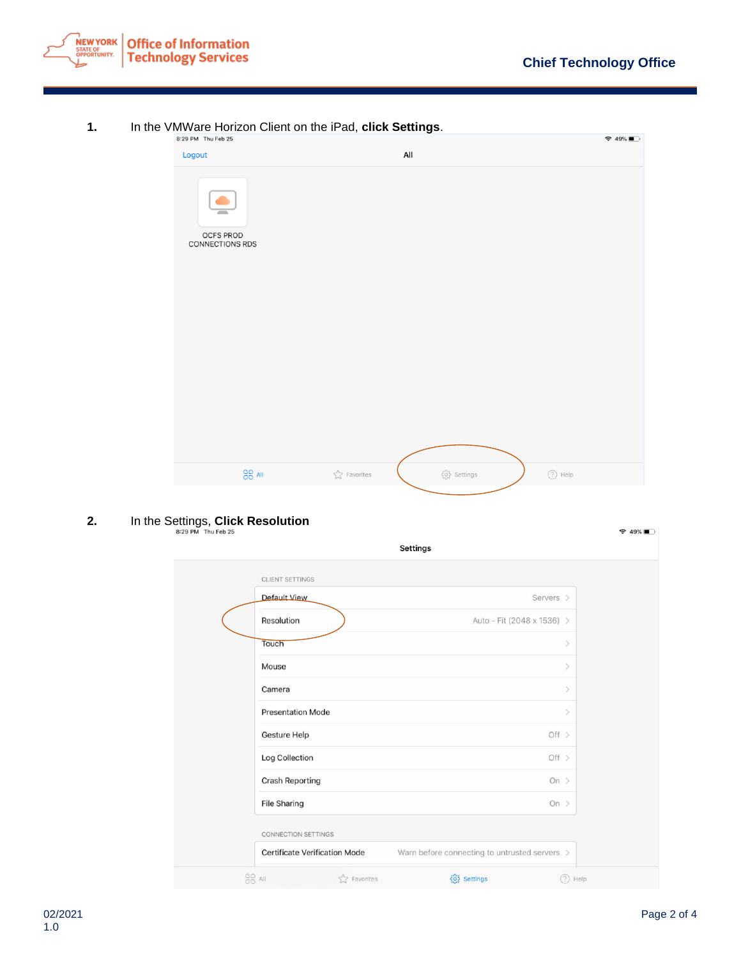

## **1.** In the VMWare Horizon Client on the iPad, **click Settings**.

| 8:29 PM Thu Feb 25           |                         |                                                                                   | $\approx 49\%$ |
|------------------------------|-------------------------|-----------------------------------------------------------------------------------|----------------|
| Logout                       |                         | All                                                                               |                |
| OCFS PROD<br>CONNECTIONS RDS |                         |                                                                                   |                |
|                              |                         |                                                                                   |                |
| $\frac{90}{00}$ All          | $\sqrt[4]{ }$ Favorites | $\{\overset{\curvearrowleft}{\underset{\curvearrow}{\curvearrowleft}}\}$ Settings | $(2)$ Help     |

## **2.** In the Settings, **Click Resolution**

| CLIENT SETTINGS                      |                                               |  |
|--------------------------------------|-----------------------------------------------|--|
| <b>Default View</b>                  | Servers >                                     |  |
| Resolution                           | Auto - Fit (2048 x 1536) >                    |  |
| Touch                                | $\mathcal{P}$                                 |  |
| Mouse                                | $\geq$                                        |  |
| Camera                               | $\rightarrow$                                 |  |
| <b>Presentation Mode</b>             | $\mathcal{P}$                                 |  |
| Gesture Help                         | Off $>$                                       |  |
| Log Collection                       | Off $>$                                       |  |
| <b>Crash Reporting</b>               | On $>$                                        |  |
| <b>File Sharing</b>                  | On $>$                                        |  |
| <b>CONNECTION SETTINGS</b>           |                                               |  |
| <b>Certificate Verification Mode</b> | Warn before connecting to untrusted servers > |  |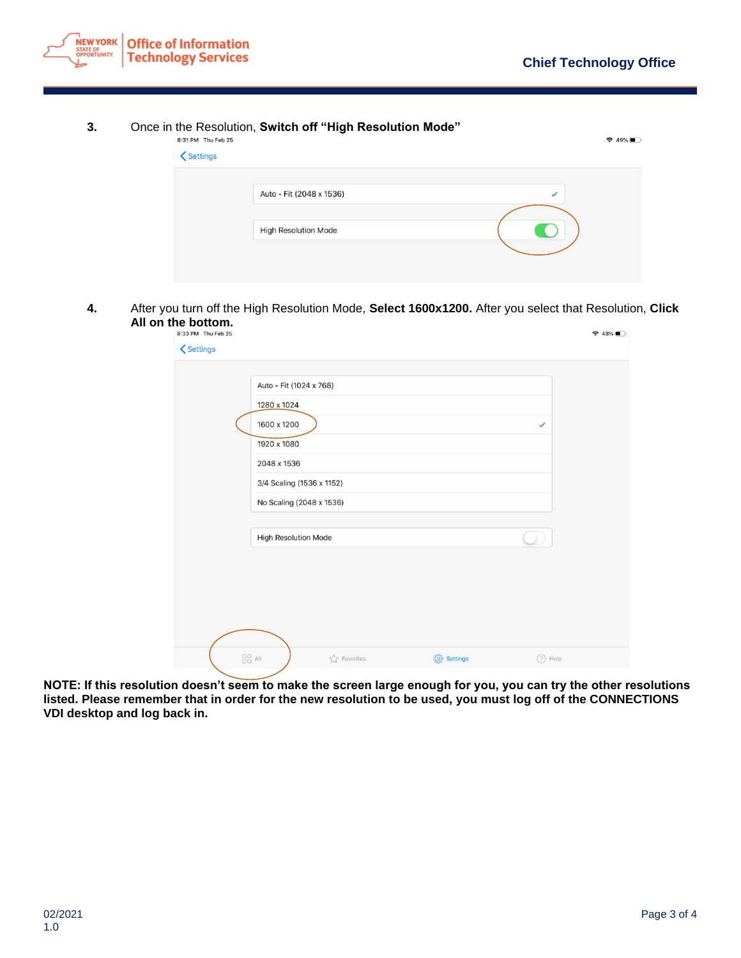

## **3.** Once in the Resolution, **Switch off "High Resolution Mode"**

| 8:31 PM Thu Feb 25                                       |                             |              | $\approx 49\%$ |
|----------------------------------------------------------|-----------------------------|--------------|----------------|
| <settings< th=""><th></th><th></th><th></th></settings<> |                             |              |                |
|                                                          |                             |              |                |
|                                                          | Auto - Fit (2048 x 1536)    | $\checkmark$ |                |
|                                                          |                             |              |                |
|                                                          | <b>High Resolution Mode</b> |              |                |
|                                                          |                             |              |                |
|                                                          |                             |              |                |
|                                                          |                             |              |                |

**4.** After you turn off the High Resolution Mode, **Select 1600x1200.** After you select that Resolution, **Click All on the bottom.**

| 8:33 PM Thu Feb 25<br><b>くSettings</b> |                                      |                        |                 |              | $948\%$ |
|----------------------------------------|--------------------------------------|------------------------|-----------------|--------------|---------|
|                                        |                                      |                        |                 |              |         |
|                                        | Auto - Fit (1024 x 768)              |                        |                 |              |         |
|                                        | 1280 x 1024                          |                        |                 |              |         |
|                                        | 1600 x 1200                          |                        |                 | $\checkmark$ |         |
|                                        | 1920 x 1080                          |                        |                 |              |         |
|                                        | 2048 x 1536                          |                        |                 |              |         |
|                                        | 3/4 Scaling (1536 x 1152)            |                        |                 |              |         |
|                                        | No Scaling (2048 x 1536)             |                        |                 |              |         |
|                                        |                                      |                        |                 |              |         |
|                                        | High Resolution Mode                 |                        |                 |              |         |
|                                        |                                      |                        |                 |              |         |
|                                        |                                      |                        |                 |              |         |
|                                        |                                      |                        |                 |              |         |
|                                        |                                      |                        |                 |              |         |
|                                        |                                      |                        |                 |              |         |
|                                        | $_{\tiny \rm CO}^{\tiny \rm OO}$ All | $\sqrt[3]{}$ Favorites | {ဂ္ဂိ} Settings | $(?)$ Help   |         |

**NOTE: If this resolution doesn't seem to make the screen large enough for you, you can try the other resolutions listed. Please remember that in order for the new resolution to be used, you must log off of the CONNECTIONS VDI desktop and log back in.**